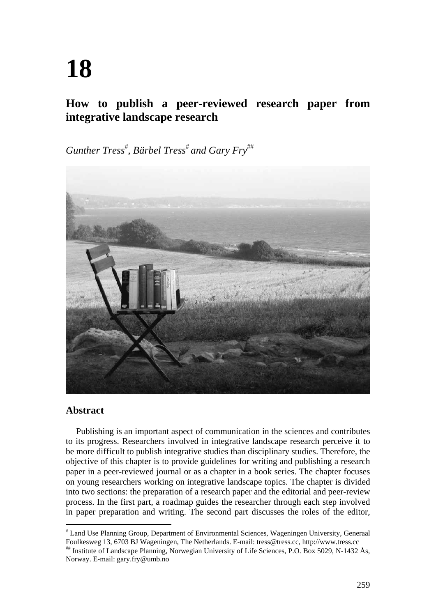# **18**

# **How to publish a peer-reviewed research paper from integrative landscape research**

 $G$ unther Tress<sup>#</sup>, Bärbel Tress<sup>#</sup> and Gary Fry<sup>##</sup>



# **Abstract**

Publishing is an important aspect of communication in the sciences and contributes to its progress. Researchers involved in integrative landscape research perceive it to be more difficult to publish integrative studies than disciplinary studies. Therefore, the objective of this chapter is to provide guidelines for writing and publishing a research paper in a peer-reviewed journal or as a chapter in a book series. The chapter focuses on young researchers working on integrative landscape topics. The chapter is divided into two sections: the preparation of a research paper and the editorial and peer-review process. In the first part, a roadmap guides the researcher through each step involved in paper preparation and writing. The second part discusses the roles of the editor,

 Land Use Planning Group, Department of Environmental Sciences, Wageningen University, Generaal Foulkesweg 13, 6703 BJ Wageningen, The Netherlands. E-mail: tress@tress.cc, http://www.tress.cc

Institute of Landscape Planning, Norwegian University of Life Sciences, P.O. Box 5029, N-1432 Ås, Norway. E-mail: gary.fry@umb.no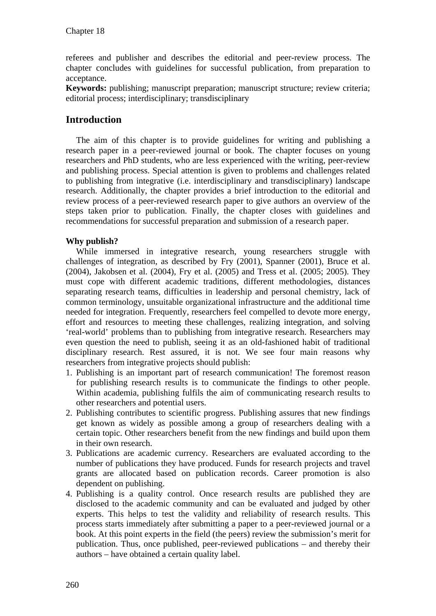referees and publisher and describes the editorial and peer-review process. The chapter concludes with guidelines for successful publication, from preparation to acceptance.

**Keywords:** publishing; manuscript preparation; manuscript structure; review criteria; editorial process; interdisciplinary; transdisciplinary

# **Introduction**

The aim of this chapter is to provide guidelines for writing and publishing a research paper in a peer-reviewed journal or book. The chapter focuses on young researchers and PhD students, who are less experienced with the writing, peer-review and publishing process. Special attention is given to problems and challenges related to publishing from integrative (i.e. interdisciplinary and transdisciplinary) landscape research. Additionally, the chapter provides a brief introduction to the editorial and review process of a peer-reviewed research paper to give authors an overview of the steps taken prior to publication. Finally, the chapter closes with guidelines and recommendations for successful preparation and submission of a research paper.

# **Why publish?**

While immersed in integrative research, young researchers struggle with challenges of integration, as described by Fry (2001), Spanner (2001), Bruce et al. (2004), Jakobsen et al. (2004), Fry et al. (2005) and Tress et al. (2005; 2005). They must cope with different academic traditions, different methodologies, distances separating research teams, difficulties in leadership and personal chemistry, lack of common terminology, unsuitable organizational infrastructure and the additional time needed for integration. Frequently, researchers feel compelled to devote more energy, effort and resources to meeting these challenges, realizing integration, and solving 'real-world' problems than to publishing from integrative research. Researchers may even question the need to publish, seeing it as an old-fashioned habit of traditional disciplinary research. Rest assured, it is not. We see four main reasons why researchers from integrative projects should publish:

- 1. Publishing is an important part of research communication! The foremost reason for publishing research results is to communicate the findings to other people. Within academia, publishing fulfils the aim of communicating research results to other researchers and potential users.
- 2. Publishing contributes to scientific progress. Publishing assures that new findings get known as widely as possible among a group of researchers dealing with a certain topic. Other researchers benefit from the new findings and build upon them in their own research.
- 3. Publications are academic currency. Researchers are evaluated according to the number of publications they have produced. Funds for research projects and travel grants are allocated based on publication records. Career promotion is also dependent on publishing.
- 4. Publishing is a quality control. Once research results are published they are disclosed to the academic community and can be evaluated and judged by other experts. This helps to test the validity and reliability of research results. This process starts immediately after submitting a paper to a peer-reviewed journal or a book. At this point experts in the field (the peers) review the submission's merit for publication. Thus, once published, peer-reviewed publications – and thereby their authors – have obtained a certain quality label.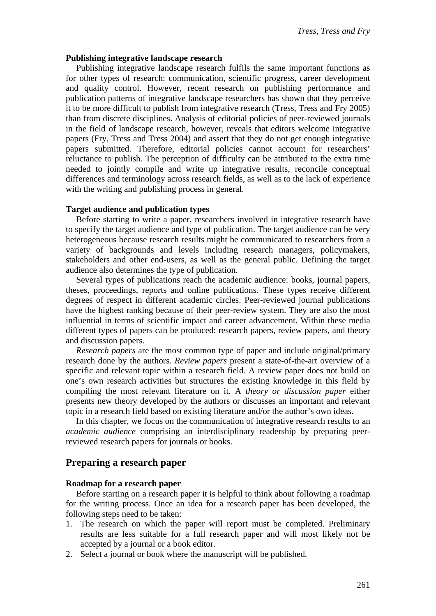#### **Publishing integrative landscape research**

Publishing integrative landscape research fulfils the same important functions as for other types of research: communication, scientific progress, career development and quality control. However, recent research on publishing performance and publication patterns of integrative landscape researchers has shown that they perceive it to be more difficult to publish from integrative research (Tress, Tress and Fry 2005) than from discrete disciplines. Analysis of editorial policies of peer-reviewed journals in the field of landscape research, however, reveals that editors welcome integrative papers (Fry, Tress and Tress 2004) and assert that they do not get enough integrative papers submitted. Therefore, editorial policies cannot account for researchers' reluctance to publish. The perception of difficulty can be attributed to the extra time needed to jointly compile and write up integrative results, reconcile conceptual differences and terminology across research fields, as well as to the lack of experience with the writing and publishing process in general.

#### **Target audience and publication types**

Before starting to write a paper, researchers involved in integrative research have to specify the target audience and type of publication. The target audience can be very heterogeneous because research results might be communicated to researchers from a variety of backgrounds and levels including research managers, policymakers, stakeholders and other end-users, as well as the general public. Defining the target audience also determines the type of publication.

Several types of publications reach the academic audience: books, journal papers, theses, proceedings, reports and online publications. These types receive different degrees of respect in different academic circles. Peer-reviewed journal publications have the highest ranking because of their peer-review system. They are also the most influential in terms of scientific impact and career advancement. Within these media different types of papers can be produced: research papers, review papers, and theory and discussion papers.

*Research papers* are the most common type of paper and include original/primary research done by the authors. *Review papers* present a state-of-the-art overview of a specific and relevant topic within a research field. A review paper does not build on one's own research activities but structures the existing knowledge in this field by compiling the most relevant literature on it. A *theory or discussion paper* either presents new theory developed by the authors or discusses an important and relevant topic in a research field based on existing literature and/or the author's own ideas.

In this chapter, we focus on the communication of integrative research results to an *academic audience* comprising an interdisciplinary readership by preparing peerreviewed research papers for journals or books.

# **Preparing a research paper**

#### **Roadmap for a research paper**

Before starting on a research paper it is helpful to think about following a roadmap for the writing process. Once an idea for a research paper has been developed, the following steps need to be taken:

- 1. The research on which the paper will report must be completed. Preliminary results are less suitable for a full research paper and will most likely not be accepted by a journal or a book editor.
- 2. Select a journal or book where the manuscript will be published.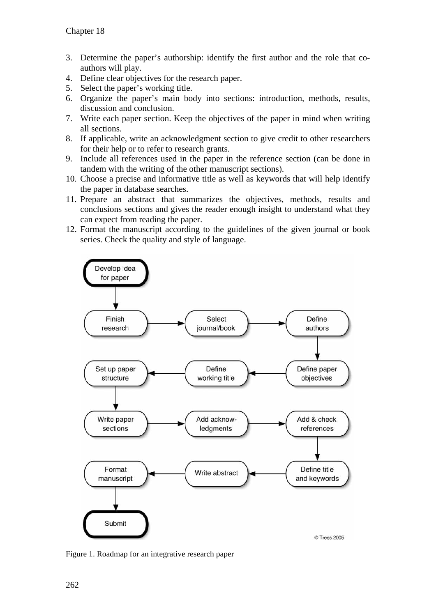- 3. Determine the paper's authorship: identify the first author and the role that coauthors will play.
- 4. Define clear objectives for the research paper.
- 5. Select the paper's working title.
- 6. Organize the paper's main body into sections: introduction, methods, results, discussion and conclusion.
- 7. Write each paper section. Keep the objectives of the paper in mind when writing all sections.
- 8. If applicable, write an acknowledgment section to give credit to other researchers for their help or to refer to research grants.
- 9. Include all references used in the paper in the reference section (can be done in tandem with the writing of the other manuscript sections).
- 10. Choose a precise and informative title as well as keywords that will help identify the paper in database searches.
- 11. Prepare an abstract that summarizes the objectives, methods, results and conclusions sections and gives the reader enough insight to understand what they can expect from reading the paper.
- 12. Format the manuscript according to the guidelines of the given journal or book series. Check the quality and style of language.



Figure 1. Roadmap for an integrative research paper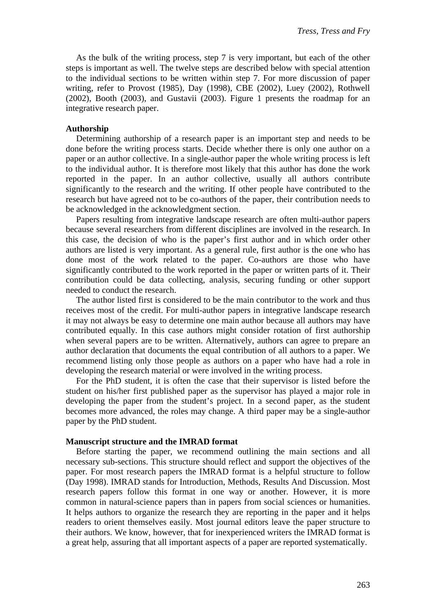As the bulk of the writing process, step 7 is very important, but each of the other steps is important as well. The twelve steps are described below with special attention to the individual sections to be written within step 7. For more discussion of paper writing, refer to Provost (1985), Day (1998), CBE (2002), Luey (2002), Rothwell (2002), Booth (2003), and Gustavii (2003). Figure 1 presents the roadmap for an integrative research paper.

#### **Authorship**

Determining authorship of a research paper is an important step and needs to be done before the writing process starts. Decide whether there is only one author on a paper or an author collective. In a single-author paper the whole writing process is left to the individual author. It is therefore most likely that this author has done the work reported in the paper. In an author collective, usually all authors contribute significantly to the research and the writing. If other people have contributed to the research but have agreed not to be co-authors of the paper, their contribution needs to be acknowledged in the acknowledgment section.

Papers resulting from integrative landscape research are often multi-author papers because several researchers from different disciplines are involved in the research. In this case, the decision of who is the paper's first author and in which order other authors are listed is very important. As a general rule, first author is the one who has done most of the work related to the paper. Co-authors are those who have significantly contributed to the work reported in the paper or written parts of it. Their contribution could be data collecting, analysis, securing funding or other support needed to conduct the research.

The author listed first is considered to be the main contributor to the work and thus receives most of the credit. For multi-author papers in integrative landscape research it may not always be easy to determine one main author because all authors may have contributed equally. In this case authors might consider rotation of first authorship when several papers are to be written. Alternatively, authors can agree to prepare an author declaration that documents the equal contribution of all authors to a paper. We recommend listing only those people as authors on a paper who have had a role in developing the research material or were involved in the writing process.

For the PhD student, it is often the case that their supervisor is listed before the student on his/her first published paper as the supervisor has played a major role in developing the paper from the student's project. In a second paper, as the student becomes more advanced, the roles may change. A third paper may be a single-author paper by the PhD student.

#### **Manuscript structure and the IMRAD format**

Before starting the paper, we recommend outlining the main sections and all necessary sub-sections. This structure should reflect and support the objectives of the paper. For most research papers the IMRAD format is a helpful structure to follow (Day 1998). IMRAD stands for Introduction, Methods, Results And Discussion. Most research papers follow this format in one way or another. However, it is more common in natural-science papers than in papers from social sciences or humanities. It helps authors to organize the research they are reporting in the paper and it helps readers to orient themselves easily. Most journal editors leave the paper structure to their authors. We know, however, that for inexperienced writers the IMRAD format is a great help, assuring that all important aspects of a paper are reported systematically.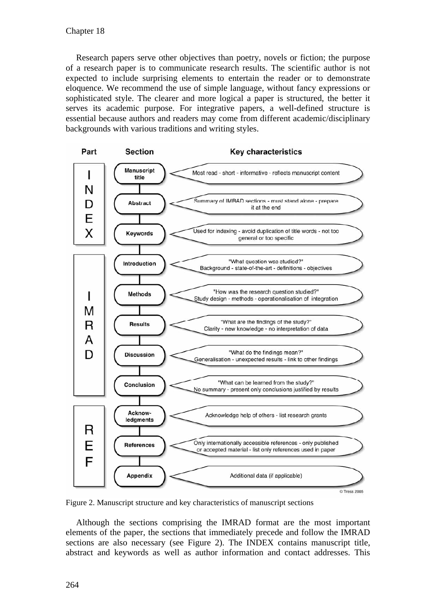Research papers serve other objectives than poetry, novels or fiction; the purpose of a research paper is to communicate research results. The scientific author is not expected to include surprising elements to entertain the reader or to demonstrate eloquence. We recommend the use of simple language, without fancy expressions or sophisticated style. The clearer and more logical a paper is structured, the better it serves its academic purpose. For integrative papers, a well-defined structure is essential because authors and readers may come from different academic/disciplinary backgrounds with various traditions and writing styles.



Figure 2. Manuscript structure and key characteristics of manuscript sections

Although the sections comprising the IMRAD format are the most important elements of the paper, the sections that immediately precede and follow the IMRAD sections are also necessary (see Figure 2). The INDEX contains manuscript title, abstract and keywords as well as author information and contact addresses. This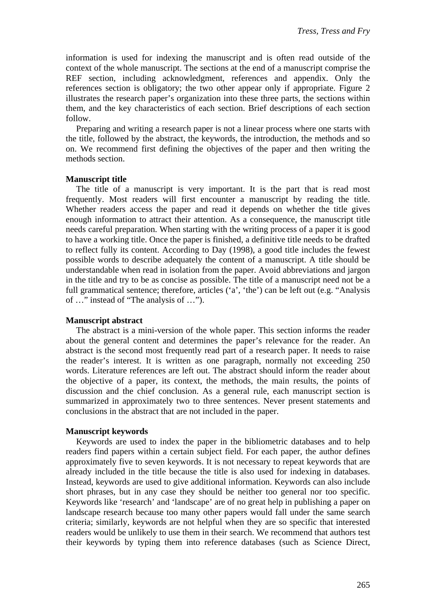information is used for indexing the manuscript and is often read outside of the context of the whole manuscript. The sections at the end of a manuscript comprise the REF section, including acknowledgment, references and appendix. Only the references section is obligatory; the two other appear only if appropriate. Figure 2 illustrates the research paper's organization into these three parts, the sections within them, and the key characteristics of each section. Brief descriptions of each section follow.

Preparing and writing a research paper is not a linear process where one starts with the title, followed by the abstract, the keywords, the introduction, the methods and so on. We recommend first defining the objectives of the paper and then writing the methods section.

#### **Manuscript title**

The title of a manuscript is very important. It is the part that is read most frequently. Most readers will first encounter a manuscript by reading the title. Whether readers access the paper and read it depends on whether the title gives enough information to attract their attention. As a consequence, the manuscript title needs careful preparation. When starting with the writing process of a paper it is good to have a working title. Once the paper is finished, a definitive title needs to be drafted to reflect fully its content. According to Day (1998), a good title includes the fewest possible words to describe adequately the content of a manuscript. A title should be understandable when read in isolation from the paper. Avoid abbreviations and jargon in the title and try to be as concise as possible. The title of a manuscript need not be a full grammatical sentence; therefore, articles ('a', 'the') can be left out (e.g. "Analysis of …" instead of "The analysis of …").

#### **Manuscript abstract**

The abstract is a mini-version of the whole paper. This section informs the reader about the general content and determines the paper's relevance for the reader. An abstract is the second most frequently read part of a research paper. It needs to raise the reader's interest. It is written as one paragraph, normally not exceeding 250 words. Literature references are left out. The abstract should inform the reader about the objective of a paper, its context, the methods, the main results, the points of discussion and the chief conclusion. As a general rule, each manuscript section is summarized in approximately two to three sentences. Never present statements and conclusions in the abstract that are not included in the paper.

# **Manuscript keywords**

Keywords are used to index the paper in the bibliometric databases and to help readers find papers within a certain subject field. For each paper, the author defines approximately five to seven keywords. It is not necessary to repeat keywords that are already included in the title because the title is also used for indexing in databases. Instead, keywords are used to give additional information. Keywords can also include short phrases, but in any case they should be neither too general nor too specific. Keywords like 'research' and 'landscape' are of no great help in publishing a paper on landscape research because too many other papers would fall under the same search criteria; similarly, keywords are not helpful when they are so specific that interested readers would be unlikely to use them in their search. We recommend that authors test their keywords by typing them into reference databases (such as Science Direct,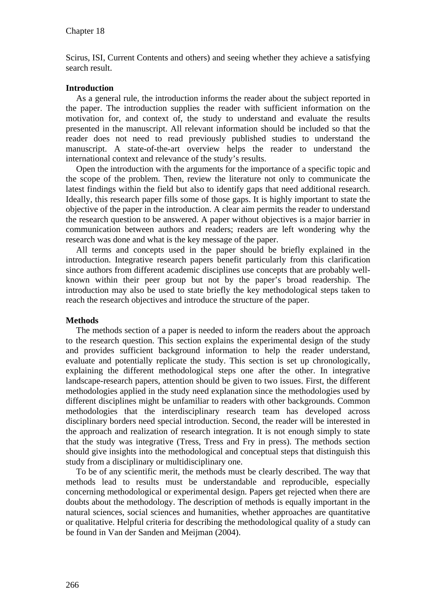Scirus, ISI, Current Contents and others) and seeing whether they achieve a satisfying search result.

#### **Introduction**

As a general rule, the introduction informs the reader about the subject reported in the paper. The introduction supplies the reader with sufficient information on the motivation for, and context of, the study to understand and evaluate the results presented in the manuscript. All relevant information should be included so that the reader does not need to read previously published studies to understand the manuscript. A state-of-the-art overview helps the reader to understand the international context and relevance of the study's results.

Open the introduction with the arguments for the importance of a specific topic and the scope of the problem. Then, review the literature not only to communicate the latest findings within the field but also to identify gaps that need additional research. Ideally, this research paper fills some of those gaps. It is highly important to state the objective of the paper in the introduction. A clear aim permits the reader to understand the research question to be answered. A paper without objectives is a major barrier in communication between authors and readers; readers are left wondering why the research was done and what is the key message of the paper.

All terms and concepts used in the paper should be briefly explained in the introduction. Integrative research papers benefit particularly from this clarification since authors from different academic disciplines use concepts that are probably wellknown within their peer group but not by the paper's broad readership. The introduction may also be used to state briefly the key methodological steps taken to reach the research objectives and introduce the structure of the paper.

# **Methods**

The methods section of a paper is needed to inform the readers about the approach to the research question. This section explains the experimental design of the study and provides sufficient background information to help the reader understand, evaluate and potentially replicate the study. This section is set up chronologically, explaining the different methodological steps one after the other. In integrative landscape-research papers, attention should be given to two issues. First, the different methodologies applied in the study need explanation since the methodologies used by different disciplines might be unfamiliar to readers with other backgrounds. Common methodologies that the interdisciplinary research team has developed across disciplinary borders need special introduction. Second, the reader will be interested in the approach and realization of research integration. It is not enough simply to state that the study was integrative (Tress, Tress and Fry in press). The methods section should give insights into the methodological and conceptual steps that distinguish this study from a disciplinary or multidisciplinary one.

To be of any scientific merit, the methods must be clearly described. The way that methods lead to results must be understandable and reproducible, especially concerning methodological or experimental design. Papers get rejected when there are doubts about the methodology. The description of methods is equally important in the natural sciences, social sciences and humanities, whether approaches are quantitative or qualitative. Helpful criteria for describing the methodological quality of a study can be found in Van der Sanden and Meijman (2004).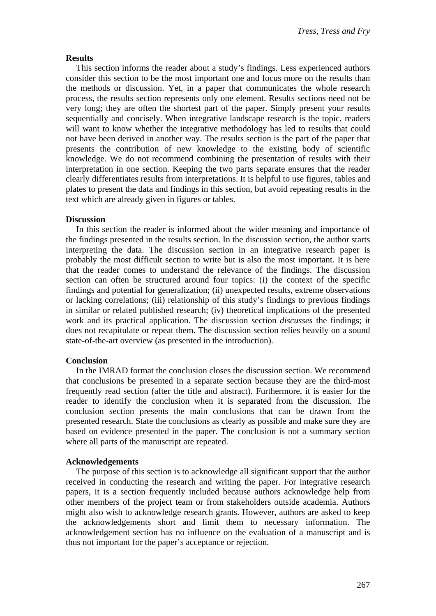# **Results**

This section informs the reader about a study's findings. Less experienced authors consider this section to be the most important one and focus more on the results than the methods or discussion. Yet, in a paper that communicates the whole research process, the results section represents only one element. Results sections need not be very long; they are often the shortest part of the paper. Simply present your results sequentially and concisely. When integrative landscape research is the topic, readers will want to know whether the integrative methodology has led to results that could not have been derived in another way. The results section is the part of the paper that presents the contribution of new knowledge to the existing body of scientific knowledge. We do not recommend combining the presentation of results with their interpretation in one section. Keeping the two parts separate ensures that the reader clearly differentiates results from interpretations. It is helpful to use figures, tables and plates to present the data and findings in this section, but avoid repeating results in the text which are already given in figures or tables.

#### **Discussion**

In this section the reader is informed about the wider meaning and importance of the findings presented in the results section. In the discussion section, the author starts interpreting the data. The discussion section in an integrative research paper is probably the most difficult section to write but is also the most important. It is here that the reader comes to understand the relevance of the findings. The discussion section can often be structured around four topics: (i) the context of the specific findings and potential for generalization; (ii) unexpected results, extreme observations or lacking correlations; (iii) relationship of this study's findings to previous findings in similar or related published research; (iv) theoretical implications of the presented work and its practical application. The discussion section *discusses* the findings; it does not recapitulate or repeat them. The discussion section relies heavily on a sound state-of-the-art overview (as presented in the introduction).

# **Conclusion**

In the IMRAD format the conclusion closes the discussion section. We recommend that conclusions be presented in a separate section because they are the third-most frequently read section (after the title and abstract). Furthermore, it is easier for the reader to identify the conclusion when it is separated from the discussion. The conclusion section presents the main conclusions that can be drawn from the presented research. State the conclusions as clearly as possible and make sure they are based on evidence presented in the paper. The conclusion is not a summary section where all parts of the manuscript are repeated.

# **Acknowledgements**

The purpose of this section is to acknowledge all significant support that the author received in conducting the research and writing the paper. For integrative research papers, it is a section frequently included because authors acknowledge help from other members of the project team or from stakeholders outside academia. Authors might also wish to acknowledge research grants. However, authors are asked to keep the acknowledgements short and limit them to necessary information. The acknowledgement section has no influence on the evaluation of a manuscript and is thus not important for the paper's acceptance or rejection.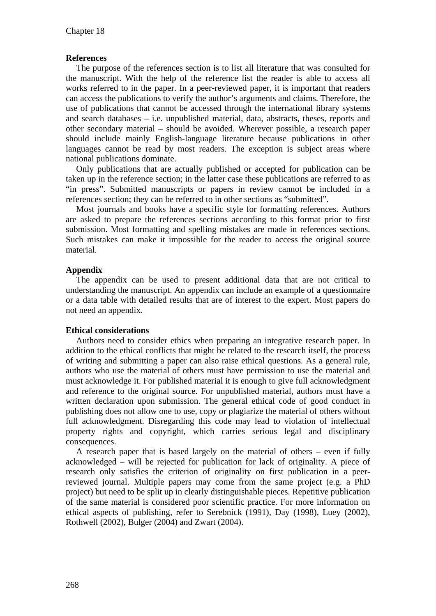# **References**

The purpose of the references section is to list all literature that was consulted for the manuscript. With the help of the reference list the reader is able to access all works referred to in the paper. In a peer-reviewed paper, it is important that readers can access the publications to verify the author's arguments and claims. Therefore, the use of publications that cannot be accessed through the international library systems and search databases – i.e. unpublished material, data, abstracts, theses, reports and other secondary material – should be avoided. Wherever possible, a research paper should include mainly English-language literature because publications in other languages cannot be read by most readers. The exception is subject areas where national publications dominate.

Only publications that are actually published or accepted for publication can be taken up in the reference section; in the latter case these publications are referred to as "in press". Submitted manuscripts or papers in review cannot be included in a references section; they can be referred to in other sections as "submitted".

Most journals and books have a specific style for formatting references. Authors are asked to prepare the references sections according to this format prior to first submission. Most formatting and spelling mistakes are made in references sections. Such mistakes can make it impossible for the reader to access the original source material.

# **Appendix**

The appendix can be used to present additional data that are not critical to understanding the manuscript. An appendix can include an example of a questionnaire or a data table with detailed results that are of interest to the expert. Most papers do not need an appendix.

# **Ethical considerations**

Authors need to consider ethics when preparing an integrative research paper. In addition to the ethical conflicts that might be related to the research itself, the process of writing and submitting a paper can also raise ethical questions. As a general rule, authors who use the material of others must have permission to use the material and must acknowledge it. For published material it is enough to give full acknowledgment and reference to the original source. For unpublished material, authors must have a written declaration upon submission. The general ethical code of good conduct in publishing does not allow one to use, copy or plagiarize the material of others without full acknowledgment. Disregarding this code may lead to violation of intellectual property rights and copyright, which carries serious legal and disciplinary consequences.

A research paper that is based largely on the material of others – even if fully acknowledged – will be rejected for publication for lack of originality. A piece of research only satisfies the criterion of originality on first publication in a peerreviewed journal. Multiple papers may come from the same project (e.g. a PhD project) but need to be split up in clearly distinguishable pieces. Repetitive publication of the same material is considered poor scientific practice. For more information on ethical aspects of publishing, refer to Serebnick (1991), Day (1998), Luey (2002), Rothwell (2002), Bulger (2004) and Zwart (2004).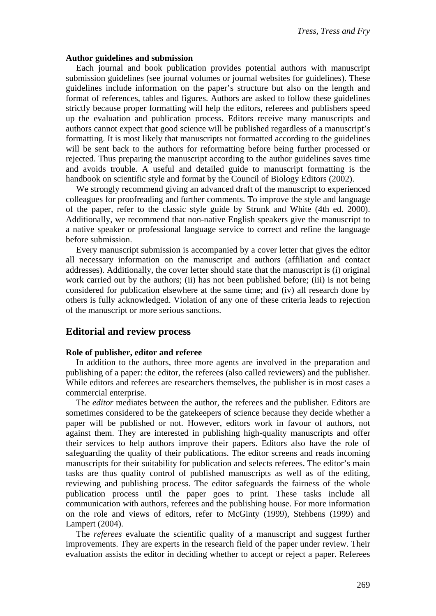#### **Author guidelines and submission**

Each journal and book publication provides potential authors with manuscript submission guidelines (see journal volumes or journal websites for guidelines). These guidelines include information on the paper's structure but also on the length and format of references, tables and figures. Authors are asked to follow these guidelines strictly because proper formatting will help the editors, referees and publishers speed up the evaluation and publication process. Editors receive many manuscripts and authors cannot expect that good science will be published regardless of a manuscript's formatting. It is most likely that manuscripts not formatted according to the guidelines will be sent back to the authors for reformatting before being further processed or rejected. Thus preparing the manuscript according to the author guidelines saves time and avoids trouble. A useful and detailed guide to manuscript formatting is the handbook on scientific style and format by the Council of Biology Editors (2002).

We strongly recommend giving an advanced draft of the manuscript to experienced colleagues for proofreading and further comments. To improve the style and language of the paper, refer to the classic style guide by Strunk and White (4th ed. 2000). Additionally, we recommend that non-native English speakers give the manuscript to a native speaker or professional language service to correct and refine the language before submission.

Every manuscript submission is accompanied by a cover letter that gives the editor all necessary information on the manuscript and authors (affiliation and contact addresses). Additionally, the cover letter should state that the manuscript is (i) original work carried out by the authors; (ii) has not been published before; (iii) is not being considered for publication elsewhere at the same time; and (iv) all research done by others is fully acknowledged. Violation of any one of these criteria leads to rejection of the manuscript or more serious sanctions.

# **Editorial and review process**

#### **Role of publisher, editor and referee**

In addition to the authors, three more agents are involved in the preparation and publishing of a paper: the editor, the referees (also called reviewers) and the publisher. While editors and referees are researchers themselves, the publisher is in most cases a commercial enterprise.

The *editor* mediates between the author, the referees and the publisher. Editors are sometimes considered to be the gatekeepers of science because they decide whether a paper will be published or not. However, editors work in favour of authors, not against them. They are interested in publishing high-quality manuscripts and offer their services to help authors improve their papers. Editors also have the role of safeguarding the quality of their publications. The editor screens and reads incoming manuscripts for their suitability for publication and selects referees. The editor's main tasks are thus quality control of published manuscripts as well as of the editing, reviewing and publishing process. The editor safeguards the fairness of the whole publication process until the paper goes to print. These tasks include all communication with authors, referees and the publishing house. For more information on the role and views of editors, refer to McGinty (1999), Stehbens (1999) and Lampert (2004).

The *referees* evaluate the scientific quality of a manuscript and suggest further improvements. They are experts in the research field of the paper under review. Their evaluation assists the editor in deciding whether to accept or reject a paper. Referees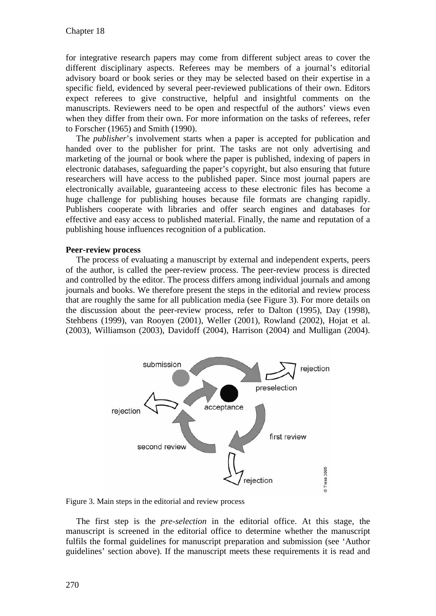for integrative research papers may come from different subject areas to cover the different disciplinary aspects. Referees may be members of a journal's editorial advisory board or book series or they may be selected based on their expertise in a specific field, evidenced by several peer-reviewed publications of their own. Editors expect referees to give constructive, helpful and insightful comments on the manuscripts. Reviewers need to be open and respectful of the authors' views even when they differ from their own. For more information on the tasks of referees, refer to Forscher (1965) and Smith (1990).

The *publisher*'s involvement starts when a paper is accepted for publication and handed over to the publisher for print. The tasks are not only advertising and marketing of the journal or book where the paper is published, indexing of papers in electronic databases, safeguarding the paper's copyright, but also ensuring that future researchers will have access to the published paper. Since most journal papers are electronically available, guaranteeing access to these electronic files has become a huge challenge for publishing houses because file formats are changing rapidly. Publishers cooperate with libraries and offer search engines and databases for effective and easy access to published material. Finally, the name and reputation of a publishing house influences recognition of a publication.

#### **Peer-review process**

The process of evaluating a manuscript by external and independent experts, peers of the author, is called the peer-review process. The peer-review process is directed and controlled by the editor. The process differs among individual journals and among journals and books. We therefore present the steps in the editorial and review process that are roughly the same for all publication media (see Figure 3). For more details on the discussion about the peer-review process, refer to Dalton (1995), Day (1998), Stehbens (1999), van Rooyen (2001), Weller (2001), Rowland (2002), Hojat et al. (2003), Williamson (2003), Davidoff (2004), Harrison (2004) and Mulligan (2004).



Figure 3. Main steps in the editorial and review process

The first step is the *pre-selection* in the editorial office. At this stage, the manuscript is screened in the editorial office to determine whether the manuscript fulfils the formal guidelines for manuscript preparation and submission (see 'Author guidelines' section above). If the manuscript meets these requirements it is read and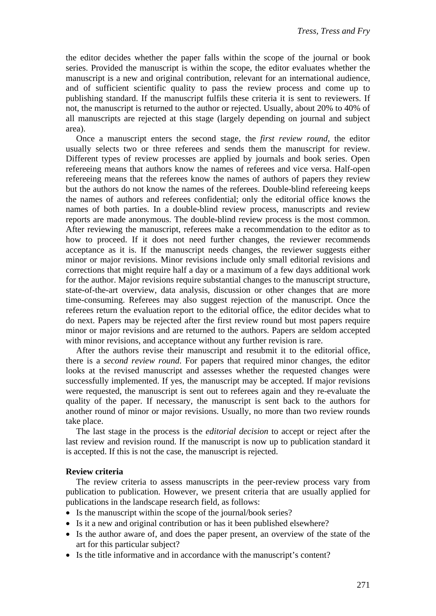the editor decides whether the paper falls within the scope of the journal or book series. Provided the manuscript is within the scope, the editor evaluates whether the manuscript is a new and original contribution, relevant for an international audience, and of sufficient scientific quality to pass the review process and come up to publishing standard. If the manuscript fulfils these criteria it is sent to reviewers. If not, the manuscript is returned to the author or rejected. Usually, about 20% to 40% of all manuscripts are rejected at this stage (largely depending on journal and subject area).

Once a manuscript enters the second stage, the *first review round*, the editor usually selects two or three referees and sends them the manuscript for review. Different types of review processes are applied by journals and book series. Open refereeing means that authors know the names of referees and vice versa. Half-open refereeing means that the referees know the names of authors of papers they review but the authors do not know the names of the referees. Double-blind refereeing keeps the names of authors and referees confidential; only the editorial office knows the names of both parties. In a double-blind review process, manuscripts and review reports are made anonymous. The double-blind review process is the most common. After reviewing the manuscript, referees make a recommendation to the editor as to how to proceed. If it does not need further changes, the reviewer recommends acceptance as it is. If the manuscript needs changes, the reviewer suggests either minor or major revisions. Minor revisions include only small editorial revisions and corrections that might require half a day or a maximum of a few days additional work for the author. Major revisions require substantial changes to the manuscript structure, state-of-the-art overview, data analysis, discussion or other changes that are more time-consuming. Referees may also suggest rejection of the manuscript. Once the referees return the evaluation report to the editorial office, the editor decides what to do next. Papers may be rejected after the first review round but most papers require minor or major revisions and are returned to the authors. Papers are seldom accepted with minor revisions, and acceptance without any further revision is rare.

After the authors revise their manuscript and resubmit it to the editorial office, there is a *second review round*. For papers that required minor changes, the editor looks at the revised manuscript and assesses whether the requested changes were successfully implemented. If yes, the manuscript may be accepted. If major revisions were requested, the manuscript is sent out to referees again and they re-evaluate the quality of the paper. If necessary, the manuscript is sent back to the authors for another round of minor or major revisions. Usually, no more than two review rounds take place.

The last stage in the process is the *editorial decision* to accept or reject after the last review and revision round. If the manuscript is now up to publication standard it is accepted. If this is not the case, the manuscript is rejected.

#### **Review criteria**

The review criteria to assess manuscripts in the peer-review process vary from publication to publication. However, we present criteria that are usually applied for publications in the landscape research field, as follows:

- Is the manuscript within the scope of the journal/book series?
- Is it a new and original contribution or has it been published elsewhere?
- Is the author aware of, and does the paper present, an overview of the state of the art for this particular subject?
- Is the title informative and in accordance with the manuscript's content?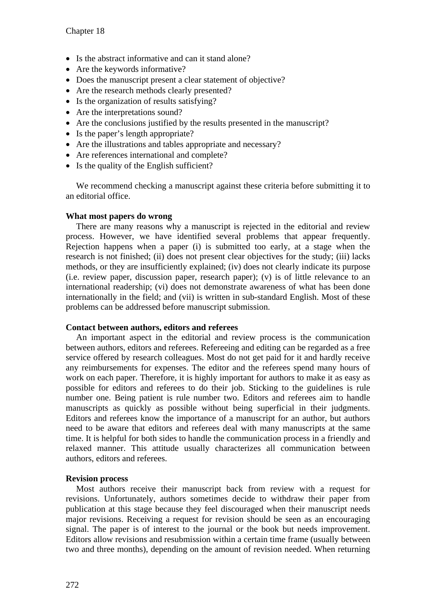- Is the abstract informative and can it stand alone?
- $\bullet$  Are the keywords informative?
- Does the manuscript present a clear statement of objective?
- Are the research methods clearly presented?
- $\bullet$  Is the organization of results satisfying?
- $\bullet$  Are the interpretations sound?
- Are the conclusions justified by the results presented in the manuscript?
- $\bullet$  Is the paper's length appropriate?
- $\bullet$  Are the illustrations and tables appropriate and necessary?
- Are references international and complete?
- $\bullet$  Is the quality of the English sufficient?

We recommend checking a manuscript against these criteria before submitting it to an editorial office.

# **What most papers do wrong**

There are many reasons why a manuscript is rejected in the editorial and review process. However, we have identified several problems that appear frequently. Rejection happens when a paper (i) is submitted too early, at a stage when the research is not finished; (ii) does not present clear objectives for the study; (iii) lacks methods, or they are insufficiently explained; (iv) does not clearly indicate its purpose (i.e. review paper, discussion paper, research paper); (v) is of little relevance to an international readership; (vi) does not demonstrate awareness of what has been done internationally in the field; and (vii) is written in sub-standard English. Most of these problems can be addressed before manuscript submission.

# **Contact between authors, editors and referees**

An important aspect in the editorial and review process is the communication between authors, editors and referees. Refereeing and editing can be regarded as a free service offered by research colleagues. Most do not get paid for it and hardly receive any reimbursements for expenses. The editor and the referees spend many hours of work on each paper. Therefore, it is highly important for authors to make it as easy as possible for editors and referees to do their job. Sticking to the guidelines is rule number one. Being patient is rule number two. Editors and referees aim to handle manuscripts as quickly as possible without being superficial in their judgments. Editors and referees know the importance of a manuscript for an author, but authors need to be aware that editors and referees deal with many manuscripts at the same time. It is helpful for both sides to handle the communication process in a friendly and relaxed manner. This attitude usually characterizes all communication between authors, editors and referees.

# **Revision process**

Most authors receive their manuscript back from review with a request for revisions. Unfortunately, authors sometimes decide to withdraw their paper from publication at this stage because they feel discouraged when their manuscript needs major revisions. Receiving a request for revision should be seen as an encouraging signal. The paper is of interest to the journal or the book but needs improvement. Editors allow revisions and resubmission within a certain time frame (usually between two and three months), depending on the amount of revision needed. When returning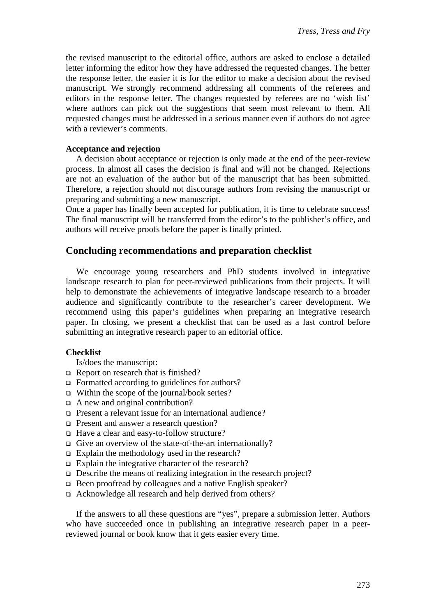the revised manuscript to the editorial office, authors are asked to enclose a detailed letter informing the editor how they have addressed the requested changes. The better the response letter, the easier it is for the editor to make a decision about the revised manuscript. We strongly recommend addressing all comments of the referees and editors in the response letter. The changes requested by referees are no 'wish list' where authors can pick out the suggestions that seem most relevant to them. All requested changes must be addressed in a serious manner even if authors do not agree with a reviewer's comments.

# **Acceptance and rejection**

A decision about acceptance or rejection is only made at the end of the peer-review process. In almost all cases the decision is final and will not be changed. Rejections are not an evaluation of the author but of the manuscript that has been submitted. Therefore, a rejection should not discourage authors from revising the manuscript or preparing and submitting a new manuscript.

Once a paper has finally been accepted for publication, it is time to celebrate success! The final manuscript will be transferred from the editor's to the publisher's office, and authors will receive proofs before the paper is finally printed.

# **Concluding recommendations and preparation checklist**

We encourage young researchers and PhD students involved in integrative landscape research to plan for peer-reviewed publications from their projects. It will help to demonstrate the achievements of integrative landscape research to a broader audience and significantly contribute to the researcher's career development. We recommend using this paper's guidelines when preparing an integrative research paper. In closing, we present a checklist that can be used as a last control before submitting an integrative research paper to an editorial office.

#### **Checklist**

Is/does the manuscript:

- $\Box$  Report on research that is finished?
- $\Box$  Formatted according to guidelines for authors?
- □ Within the scope of the journal/book series?
- □ A new and original contribution?
- Present a relevant issue for an international audience?
- **Present and answer a research question?**
- □ Have a clear and easy-to-follow structure?
- Give an overview of the state-of-the-art internationally?
- $\Box$  Explain the methodology used in the research?
- $\Box$  Explain the integrative character of the research?
- $\Box$  Describe the means of realizing integration in the research project?
- Been proofread by colleagues and a native English speaker?
- Acknowledge all research and help derived from others?

If the answers to all these questions are "yes", prepare a submission letter. Authors who have succeeded once in publishing an integrative research paper in a peerreviewed journal or book know that it gets easier every time.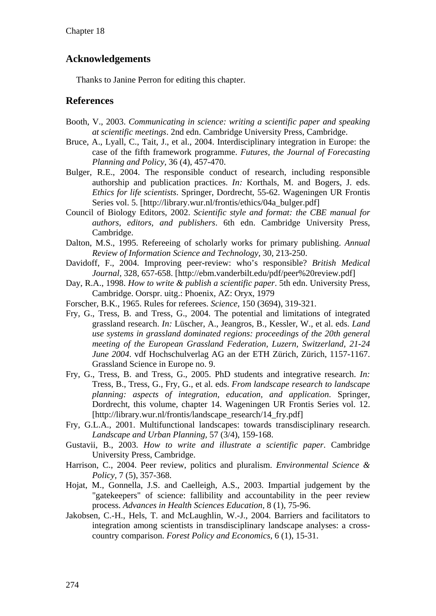# **Acknowledgements**

Thanks to Janine Perron for editing this chapter.

# **References**

- Booth, V., 2003. *Communicating in science: writing a scientific paper and speaking at scientific meetings*. 2nd edn. Cambridge University Press, Cambridge.
- Bruce, A., Lyall, C., Tait, J., et al., 2004. Interdisciplinary integration in Europe: the case of the fifth framework programme. *Futures, the Journal of Forecasting Planning and Policy,* 36 (4), 457-470.
- Bulger, R.E., 2004. The responsible conduct of research, including responsible authorship and publication practices. *In:* Korthals, M. and Bogers, J. eds. *Ethics for life scientists*. Springer, Dordrecht, 55-62. Wageningen UR Frontis Series vol. 5. [http://library.wur.nl/frontis/ethics/04a\_bulger.pdf]
- Council of Biology Editors, 2002. *Scientific style and format: the CBE manual for authors, editors, and publishers*. 6th edn. Cambridge University Press, Cambridge.
- Dalton, M.S., 1995. Refereeing of scholarly works for primary publishing. *Annual Review of Information Science and Technology,* 30, 213-250.
- Davidoff, F., 2004. Improving peer-review: who's responsible? *British Medical Journal,* 328, 657-658. [http://ebm.vanderbilt.edu/pdf/peer%20review.pdf]
- Day, R.A., 1998. *How to write & publish a scientific paper*. 5th edn. University Press, Cambridge. Oorspr. uitg.: Phoenix, AZ: Oryx, 1979
- Forscher, B.K., 1965. Rules for referees. *Science,* 150 (3694), 319-321.
- Fry, G., Tress, B. and Tress, G., 2004. The potential and limitations of integrated grassland research. *In:* Lüscher, A., Jeangros, B., Kessler, W., et al. eds. *Land use systems in grassland dominated regions: proceedings of the 20th general meeting of the European Grassland Federation, Luzern, Switzerland, 21-24 June 2004*. vdf Hochschulverlag AG an der ETH Zürich, Zürich, 1157-1167. Grassland Science in Europe no. 9.
- Fry, G., Tress, B. and Tress, G., 2005. PhD students and integrative research. *In:* Tress, B., Tress, G., Fry, G., et al. eds. *From landscape research to landscape planning: aspects of integration, education, and application*. Springer, Dordrecht, this volume, chapter 14. Wageningen UR Frontis Series vol. 12. [http://library.wur.nl/frontis/landscape\_research/14\_fry.pdf]
- Fry, G.L.A., 2001. Multifunctional landscapes: towards transdisciplinary research. *Landscape and Urban Planning,* 57 (3/4), 159-168.
- Gustavii, B., 2003. *How to write and illustrate a scientific paper*. Cambridge University Press, Cambridge.
- Harrison, C., 2004. Peer review, politics and pluralism. *Environmental Science & Policy,* 7 (5), 357-368.
- Hojat, M., Gonnella, J.S. and Caelleigh, A.S., 2003. Impartial judgement by the "gatekeepers" of science: fallibility and accountability in the peer review process. *Advances in Health Sciences Education,* 8 (1), 75-96.
- Jakobsen, C.-H., Hels, T. and McLaughlin, W.-J., 2004. Barriers and facilitators to integration among scientists in transdisciplinary landscape analyses: a crosscountry comparison. *Forest Policy and Economics,* 6 (1), 15-31.